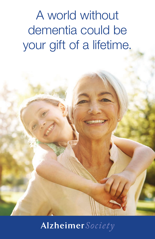A world without dementia could be your gift of a lifetime.

# Alzheimer Society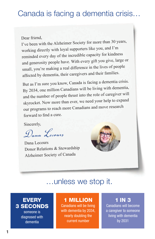## Canada is facing a dementia crisis…

Dear friend,

I've been with the Alzheimer Society for more than 30 years, working directly with loyal supporters like you, and I'm reminded every day of the incredible capacity for kindness and generosity people have. With every gift you give, large or small, you're making a real difference in the lives of people affected by dementia, their caregivers and their families.

But as I'm sure you know, Canada is facing a dementia crisis. By 2034, one million Canadians will be living with dementia, and the number of people thrust into the role of caregiver will skyrocket. Now more than ever, we need your help to expan<sup>d</sup> our programs to reach more Canadians and move researc<sup>h</sup> forward to find a cure.

Sincerely,

*Dana Lecours*

Dana Lecours Donor Relations & Stewardship Alzheimer Society of Canada



## …unless we stop it.

### **EVERY** 3 SECONDS

someone is diagnosed with dementia

## 1 MILLION

Canadians will be living with dementia by 2034, nearly doubling the current number

### 1 IN 3

Canadians will become a caregiver to someone living with dementia by 2031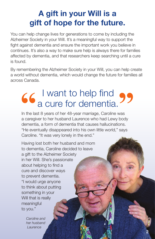# A gift in your Will is a gift of hope for the future.

You can help change lives for generations to come by including the Alzheimer Society in your Will. It's a meaningful way to support the fight against dementia and ensure the important work you believe in continues. It's also a way to make sure help is always there for families affected by dementia, and that researchers keep searching until a cure is found.

By remembering the Alzheimer Society in your Will, you can help create a world without dementia, which would change the future for families all across Canada.

# I want to help find a cure for dementia.

In the last 8 years of her 48-year marriage, Caroline was a caregiver to her husband Laurence who had Lewy body dementia, a form of dementia that causes hallucinations. "He eventually disappeared into his own little world," says Caroline. "It was very lonely in the end."

Having lost both her husband and mom to dementia, Caroline decided to leave a gift to the Alzheimer Society in her Will. She's passionate about helping to find a cure and discover ways to prevent dementia. "I would urge anyone to think about putting something in your Will that is really meaningful to you."

*Caroline and her husband Laurence*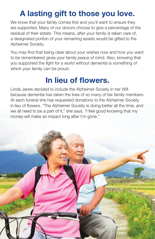# A lasting gift to those you love.

We know that your family comes first and you'll want to ensure they are supported. Many of our donors choose to give a percentage of the residual of their estate. This means, after your family is taken care of, a designated portion of your remaining assets would be gifted to the Alzheimer Society.

You may find that being clear about your wishes now and how you want to be remembered gives your family peace of mind. Also, knowing that you supported the fight for a world without dementia is something of which your family can be proud.

## In lieu of flowers.

Linda Janes decided to include the Alzheimer Society in her Will because dementia has taken the lives of so many of her family members. At each funeral she has requested donations to the Alzheimer Society in lieu of flowers. "The Alzheimer Society is doing better all the time, and we all need to be a part of it," she says. "I feel good knowing that my money will make an impact long after I'm gone."

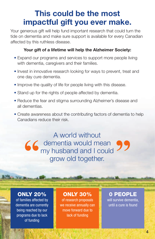## This could be the most impactful gift you ever make.

Your generous gift will help fund important research that could turn the tide on dementia and make sure support is available for every Canadian affected by this ruthless disease.

#### Your gift of a lifetime will help the Alzheimer Society:

- Expand our programs and services to support more people living with dementia, caregivers and their families.
- Invest in innovative research looking for ways to prevent, treat and one day cure dementia.
- Improve the quality of life for people living with this disease.
- Stand up for the rights of people affected by dementia.
- Reduce the fear and stigma surrounding Alzheimer's disease and all dementias.
- Create awareness about the contributing factors of dementia to help Canadians reduce their risk.

A world without dementia would mean my husband and I could grow old together.

### ONLY 20%

**Maria Alberta** 

of families affected by dementia are currently being reached by our programs due to lack of funding

#### ONLY 30%

of research proposals we receive annually can move forward due to lack of funding

### 0 PEOPLE

will survive dementia, until a cure is found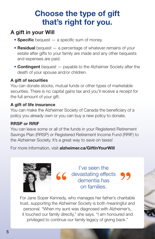## Choose the type of gift that's right for you.

### A gift in your Will

- **Specific** bequest a specific sum of money.
- **Residual** bequest  $-$  a percentage of whatever remains of your estate after gifts to your family are made and any other bequests and expenses are paid.
- **Contingent** bequest payable to the Alzheimer Society after the death of your spouse and/or children.

#### A gift of securities

You can donate stocks, mutual funds or other types of marketable securities. There is no capital gains tax and you'll receive a receipt for the full amount of your gift.

#### A gift of life insurance

You can make the Alzheimer Society of Canada the beneficiary of a policy you already own or you can buy a new policy to donate.

#### RRSP or RRIF

You can leave some or all of the funds in your Registered Retirement Savings Plan (RRSP) or Registered Retirement Income Fund (RRIF) to the Alzheimer Society. It's a great way to save on taxes!

For more information, visit alzheimer.ca/GiftInYourWill



I've seen the devastating effects dementia has on families.

For Jane Soper Kennedy, who manages her father's charitable trust, supporting the Alzheimer Society is both meaningful and personal. "When my aunt was diagnosed with Alzheimer's, it touched our family directly," she says. "I am honoured and privileged to continue our family legacy of giving back."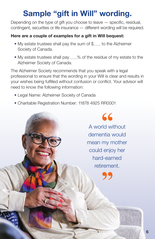# Sample "gift in Will" wording.

Depending on the type of gift you choose to leave — specific, residual, contingent, securities or life insurance — different wording will be required.

#### Here are a couple of examples for a gift in Will bequest:

- My estate trustees shall pay the sum of  $\mathcal{F}_{\text{num}}$  to the Alzheimer Society of Canada.
- My estate trustees shall pay ........% of the residue of my estate to the Alzheimer Society of Canada.

The Alzheimer Society recommends that you speak with a legal professional to ensure that the wording in your Will is clear and results in your wishes being fulfilled without confusion or conflict. Your advisor will need to know the following information:

- Legal Name: Alzheimer Society of Canada
- Charitable Registration Number: 11878 4925 RR0001

66 A world without dementia would mean my mother could enjoy her hard-earned **retirement**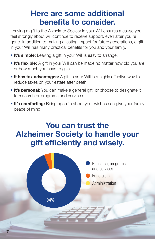## Here are some additional benefits to consider.

Leaving a gift to the Alzheimer Society in your Will ensures a cause you feel strongly about will continue to receive support, even after you're gone. In addition to making a lasting impact for future generations, a gift in your Will has many practical benefits for you and your family.

- It's simple: Leaving a gift in your Will is easy to arrange.
- It's flexible: A gift in your Will can be made no matter how old you are or how much you have to give.
- It has tax advantages: A gift in your Will is a highly effective way to reduce taxes on your estate after death.
- It's personal: You can make a general gift, or choose to designate it to research or programs and services.
- It's comforting: Being specific about your wishes can give your family peace of mind.

## You can trust the Alzheimer Society to handle your gift efficiently and wisely.



7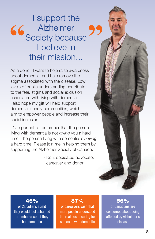# I support the Alzheimer Society because I believe in their mission...

As a donor, I want to help raise awareness about dementia, and help remove the stigma associated with the disease. Low levels of public understanding contribute to the fear, stigma and social exclusion associated with living with dementia. I also hope my gift will help support dementia-friendly communities, which aim to empower people and increase their social inclusion.

It's important to remember that the person living with dementia is not *giving* you a hard time. The person living with dementia is *having* a hard time. Please join me in helping them by supporting the Alzheimer Society of Canada.

> - Kori, dedicated advocate, caregiver and donor



### 46%

of Canadians admit they would feel ashamed or embarrassed if they had dementia

#### 87%

of caregivers wish that more people understood the realities of caring for someone with dementia

#### 56%

of Canadians are concerned about being affected by Alzheimer's disease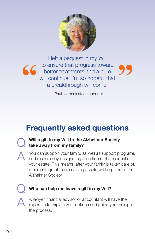

I left a bequest in my Will to ensure that progress toward  $66$ better treatments and a cure will continue. I'm so hopeful that a breakthrough will come.

- Pauline, dedicated supporter

# Frequently asked questions



#### Will a gift in my Will to the Alzheimer Society take away from my family?

A You can support your family, as well as support programs and research by designating a portion of the residual of your estate. This means, after your family is taken care of, a percentage of the remaining assets will be gifted to the Alzheimer Society.

#### Who can help me leave a gift in my Will?

A lawyer, financial advisor or accountant will have the expertise to explain your options and guide you through the process.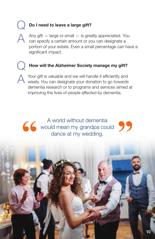### Do I need to leave a large gift?

Any gift — large or small — is greatly appreciated. You can specify a certain amount or you can designate a portion of your estate. Even a small percentage can have a significant impact.

#### How will the Alzheimer Society manage my gift?

A Your gift is valuable and we will handle it efficiently and wisely. You can designate your donation to go towards dementia research or to programs and services aimed at improving the lives of people affected by dementia.

A world without dementia 66 would mean my grandpa could 99 dance at my wedding.